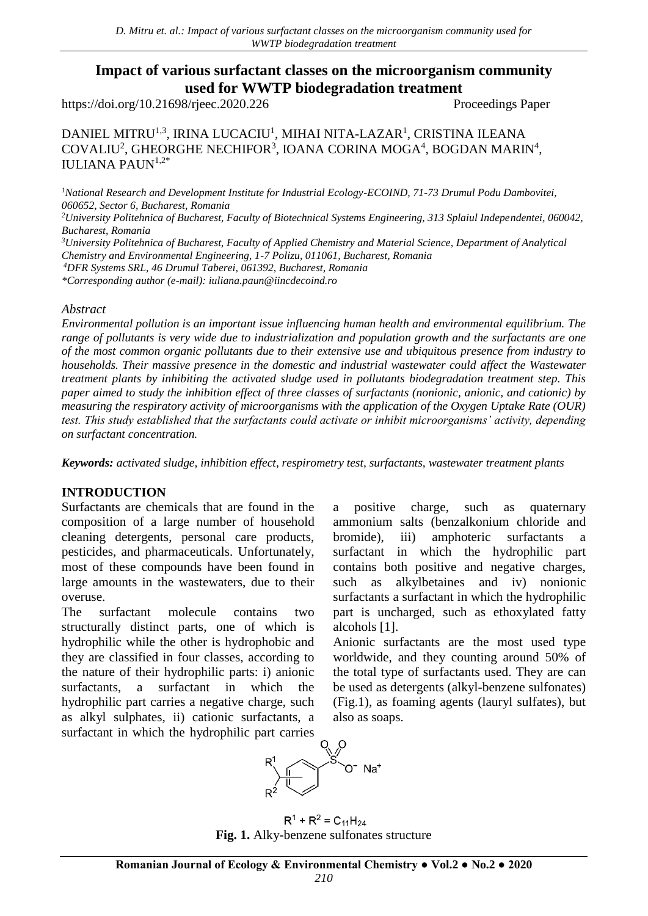# **Impact of various surfactant classes on the microorganism community used for WWTP biodegradation treatment**

https://doi.org/10.21698/rjeec.2020.226 Proceedings Paper

DANIEL MITRU<sup>1,3</sup>, IRINA LUCACIU<sup>1</sup>, MIHAI NITA-LAZAR<sup>1</sup>, CRISTINA ILEANA  $CovALIU<sup>2</sup>$ , GHEORGHE NECHIFOR<sup>3</sup>, IOANA CORINA MOGA<sup>4</sup>, BOGDAN MARIN<sup>4</sup>, IULIANA PAUN1,2\*

*<sup>1</sup>National Research and Development Institute for Industrial Ecology-ECOIND, 71-73 Drumul Podu Dambovitei, 060652, Sector 6, Bucharest, Romania* 

*<sup>2</sup>University Politehnica of Bucharest, Faculty of Biotechnical Systems Engineering, 313 Splaiul Independentei, 060042, Bucharest, Romania*

*<sup>3</sup>University Politehnica of Bucharest, Faculty of Applied Chemistry and Material Science, Department of Analytical Chemistry and Environmental Engineering, 1-7 Polizu, 011061, Bucharest, Romania*

*<sup>4</sup>DFR Systems SRL, 46 Drumul Taberei, 061392, Bucharest, Romania*

*\*Corresponding author (e-mail): iuliana.paun@iincdecoind.ro*

#### *Abstract*

*Environmental pollution is an important issue influencing human health and environmental equilibrium. The range of pollutants is very wide due to industrialization and population growth and the surfactants are one of the most common organic pollutants due to their extensive use and ubiquitous presence from industry to households. Their massive presence in the domestic and industrial wastewater could affect the Wastewater treatment plants by inhibiting the activated sludge used in pollutants biodegradation treatment step. This paper aimed to study the inhibition effect of three classes of surfactants (nonionic, anionic, and cationic) by measuring the respiratory activity of microorganisms with the application of the Oxygen Uptake Rate (OUR) test. This study established that the surfactants could activate or inhibit microorganisms' activity, depending on surfactant concentration.*

*Keywords: activated sludge, inhibition effect, respirometry test, surfactants, wastewater treatment plants*

## **INTRODUCTION**

Surfactants are chemicals that are found in the composition of a large number of household cleaning detergents, personal care products, pesticides, and pharmaceuticals. Unfortunately, most of these compounds have been found in large amounts in the wastewaters, due to their overuse.

The surfactant molecule contains two structurally distinct parts, one of which is hydrophilic while the other is hydrophobic and they are classified in four classes, according to the nature of their hydrophilic parts: i) anionic surfactants, a surfactant in which the hydrophilic part carries a negative charge, such as alkyl sulphates, ii) cationic surfactants, a surfactant in which the hydrophilic part carries

a positive charge, such as quaternary ammonium salts (benzalkonium chloride and bromide), iii) amphoteric surfactants a surfactant in which the hydrophilic part contains both positive and negative charges, such as alkylbetaines and iv) nonionic surfactants a surfactant in which the hydrophilic part is uncharged, such as ethoxylated fatty alcohols [1].

Anionic surfactants are the most used type worldwide, and they counting around 50% of the total type of surfactants used. They are can be used as detergents (alkyl-benzene sulfonates) (Fig.1), as foaming agents (lauryl sulfates), but also as soaps.



 $R^1 + R^2 = C_{11}H_{24}$ **Fig. 1.** Alky-benzene sulfonates structure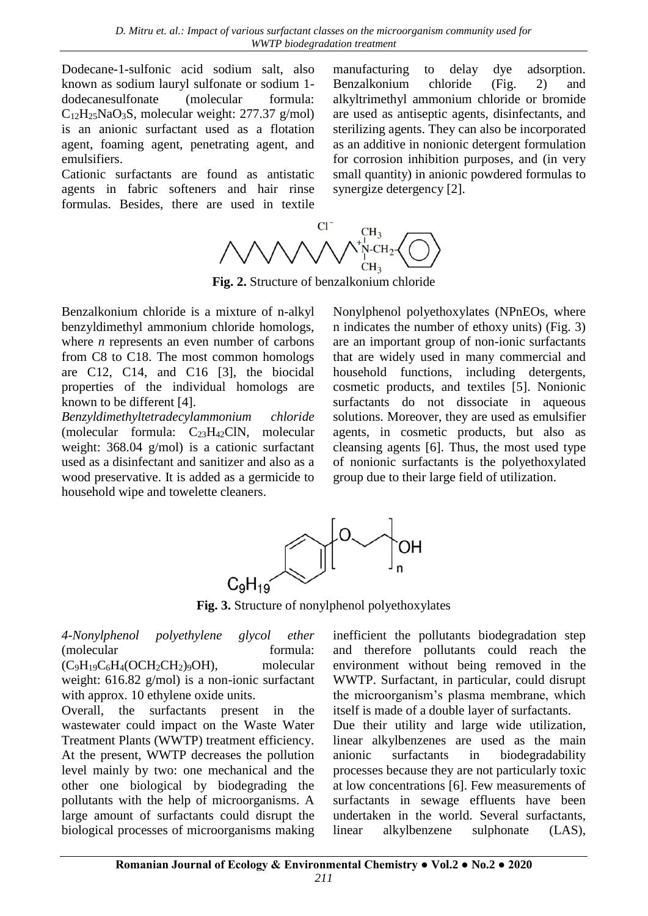Dodecane-1-sulfonic acid sodium salt, also known as sodium lauryl sulfonate or sodium 1 dodecanesulfonate (molecular formula:  $C_{12}H_{25}NaO_3S$ , molecular weight: 277.37 g/mol) is an anionic surfactant used as a flotation agent, foaming agent, penetrating agent, and emulsifiers.

Cationic surfactants are found as antistatic agents in fabric softeners and hair rinse formulas. Besides, there are used in textile

manufacturing to delay dye adsorption. Benzalkonium chloride (Fig. 2) and alkyltrimethyl ammonium chloride or bromide are used as antiseptic agents, disinfectants, and sterilizing agents. They can also be incorporated as an additive in nonionic detergent formulation for corrosion inhibition purposes, and (in very small quantity) in anionic powdered formulas to synergize detergency [2].



**Fig. 2.** Structure of benzalkonium chloride

Benzalkonium chloride is a mixture of n-alkyl benzyldimethyl ammonium chloride homologs, where *n* represents an even number of carbons from C8 to C18. The most common homologs are C12, C14, and C16 [3], the biocidal properties of the individual homologs are known to be different [4].

*Benzyldimethyltetradecylammonium chloride* (molecular formula: C23H42ClN, molecular weight: 368.04 g/mol) is a cationic surfactant used as a disinfectant and sanitizer and also as a wood preservative. It is added as a germicide to household wipe and towelette cleaners.

Nonylphenol polyethoxylates (NPnEOs, where n indicates the number of ethoxy units) (Fig. 3) are an important group of non-ionic surfactants that are widely used in many commercial and household functions, including detergents, cosmetic products, and textiles [5]. Nonionic surfactants do not dissociate in aqueous solutions. Moreover, they are used as emulsifier agents, in cosmetic products, but also as cleansing agents [6]. Thus, the most used type of nonionic surfactants is the polyethoxylated group due to their large field of utilization.



**Fig. 3.** Structure of nonylphenol polyethoxylates

*4-Nonylphenol polyethylene glycol ether* (molecular formula:  $(C_9H_{19}C_6H_4(OCH_2CH_2)_{9}OH)$ , molecular weight: 616.82 g/mol) is a non-ionic surfactant with approx. 10 ethylene oxide units.

Overall, the surfactants present in the wastewater could impact on the Waste Water Treatment Plants (WWTP) treatment efficiency. At the present, WWTP decreases the pollution level mainly by two: one mechanical and the other one biological by biodegrading the pollutants with the help of microorganisms. A large amount of surfactants could disrupt the biological processes of microorganisms making inefficient the pollutants biodegradation step and therefore pollutants could reach the environment without being removed in the WWTP. Surfactant, in particular, could disrupt the microorganism's plasma membrane, which itself is made of a double layer of surfactants. Due their utility and large wide utilization, linear alkylbenzenes are used as the main

anionic surfactants in biodegradability processes because they are not particularly toxic at low concentrations [6]. Few measurements of surfactants in sewage effluents have been undertaken in the world. Several surfactants, linear alkylbenzene sulphonate (LAS),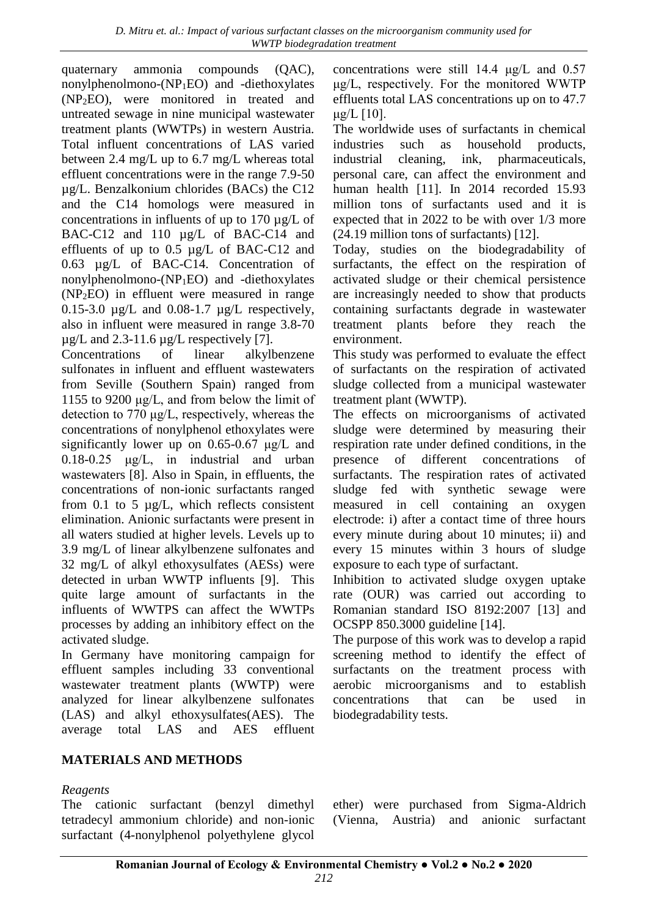quaternary ammonia compounds (QAC), nonylphenolmono-(NP1EO) and -diethoxylates (NP2EO), were monitored in treated and untreated sewage in nine municipal wastewater treatment plants (WWTPs) in western Austria. Total influent concentrations of LAS varied between 2.4 mg/L up to 6.7 mg/L whereas total effluent concentrations were in the range 7.9-50 µg/L. Benzalkonium chlorides (BACs) the C12 and the C14 homologs were measured in concentrations in influents of up to 170 µg/L of BAC-C12 and 110  $\mu$ g/L of BAC-C14 and effluents of up to 0.5 µg/L of BAC-C12 and 0.63 µg/L of BAC-C14. Concentration of nonylphenolmono-(NP1EO) and -diethoxylates  $(NP<sub>2</sub>EO)$  in effluent were measured in range 0.15-3.0  $\mu$ g/L and 0.08-1.7  $\mu$ g/L respectively, also in influent were measured in range 3.8-70  $\mu$ g/L and 2.3-11.6  $\mu$ g/L respectively [7].

Concentrations of linear alkylbenzene sulfonates in influent and effluent wastewaters from Seville (Southern Spain) ranged from 1155 to 9200 μg/L, and from below the limit of detection to 770 μg/L, respectively, whereas the concentrations of nonylphenol ethoxylates were significantly lower up on 0.65-0.67 μg/L and 0.18-0.25 μg/L, in industrial and urban wastewaters [8]. Also in Spain, in effluents, the concentrations of non-ionic surfactants ranged from 0.1 to 5 µg/L, which reflects consistent elimination. Anionic surfactants were present in all waters studied at higher levels. Levels up to 3.9 mg/L of linear alkylbenzene sulfonates and 32 mg/L of alkyl ethoxysulfates (AESs) were detected in urban WWTP influents [9]. This quite large amount of surfactants in the influents of WWTPS can affect the WWTPs processes by adding an inhibitory effect on the activated sludge.

In Germany have monitoring campaign for effluent samples including 33 conventional wastewater treatment plants (WWTP) were analyzed for linear alkylbenzene sulfonates (LAS) and alkyl ethoxysulfates(AES). The average total LAS and AES effluent

# **MATERIALS AND METHODS**

# *Reagents*

The cationic surfactant (benzyl dimethyl tetradecyl ammonium chloride) and non-ionic surfactant (4-nonylphenol polyethylene glycol concentrations were still 14.4 μg/L and 0.57 μg/L, respectively. For the monitored WWTP effluents total LAS concentrations up on to 47.7 μg/L  $[10]$ .

The worldwide uses of surfactants in chemical industries such as household products, industrial cleaning, ink, pharmaceuticals, personal care, can affect the environment and human health [11]. In 2014 recorded 15.93 million tons of surfactants used and it is expected that in 2022 to be with over 1/3 more (24.19 million tons of surfactants) [12].

Today, studies on the biodegradability of surfactants, the effect on the respiration of activated sludge or their chemical persistence are increasingly needed to show that products containing surfactants degrade in wastewater treatment plants before they reach the environment.

This study was performed to evaluate the effect of surfactants on the respiration of activated sludge collected from a municipal wastewater treatment plant (WWTP).

The effects on microorganisms of activated sludge were determined by measuring their respiration rate under defined conditions, in the presence of different concentrations of surfactants. The respiration rates of activated sludge fed with synthetic sewage were measured in cell containing an oxygen electrode: i) after a contact time of three hours every minute during about 10 minutes; ii) and every 15 minutes within 3 hours of sludge exposure to each type of surfactant.

Inhibition to activated sludge oxygen uptake rate (OUR) was carried out according to Romanian standard ISO 8192:2007 [13] and OCSPP 850.3000 guideline [14].

The purpose of this work was to develop a rapid screening method to identify the effect of surfactants on the treatment process with aerobic microorganisms and to establish concentrations that can be used in biodegradability tests.

ether) were purchased from Sigma-Aldrich (Vienna, Austria) and anionic surfactant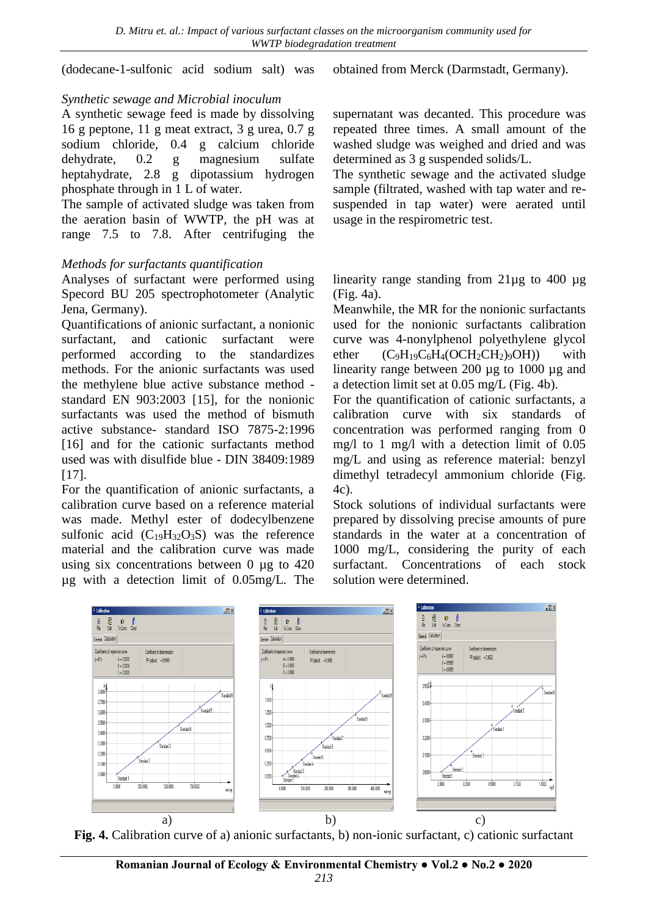(dodecane-1-sulfonic acid sodium salt) was obtained from Merck (Darmstadt, Germany).

## *Synthetic sewage and Microbial inoculum*

A synthetic sewage feed is made by dissolving 16 g peptone, 11 g meat extract, 3 g urea, 0.7 g sodium chloride, 0.4 g calcium chloride dehydrate, 0.2 g magnesium sulfate heptahydrate, 2.8 g dipotassium hydrogen phosphate through in 1 L of water.

The sample of activated sludge was taken from the aeration basin of WWTP, the pH was at range 7.5 to 7.8. After centrifuging the

## *Methods for surfactants quantification*

Analyses of surfactant were performed using Specord BU 205 spectrophotometer (Analytic Jena, Germany).

Quantifications of anionic surfactant, a nonionic surfactant, and cationic surfactant were performed according to the standardizes methods. For the anionic surfactants was used the methylene blue active substance method standard EN 903:2003 [15], for the nonionic surfactants was used the method of bismuth active substance- standard ISO 7875-2:1996 [16] and for the cationic surfactants method used was with disulfide blue - DIN 38409:1989 [17].

For the quantification of anionic surfactants, a calibration curve based on a reference material was made. Methyl ester of dodecylbenzene sulfonic acid  $(C_{19}H_{32}O_3S)$  was the reference material and the calibration curve was made using six concentrations between 0 µg to 420 µg with a detection limit of 0.05mg/L. The

supernatant was decanted. This procedure was repeated three times. A small amount of the washed sludge was weighed and dried and was determined as 3 g suspended solids/L.

The synthetic sewage and the activated sludge sample (filtrated, washed with tap water and resuspended in tap water) were aerated until usage in the respirometric test.

linearity range standing from 21µg to 400 µg (Fig. 4a).

Meanwhile, the MR for the nonionic surfactants used for the nonionic surfactants calibration curve was 4-nonylphenol polyethylene glycol ether  $(C_9H_{19}C_6H_4(OCH_2CH_2)_9OH)$  with linearity range between 200 µg to 1000 µg and a detection limit set at 0.05 mg/L (Fig. 4b).

For the quantification of cationic surfactants, a calibration curve with six standards of concentration was performed ranging from 0 mg/l to 1 mg/l with a detection limit of 0.05 mg/L and using as reference material: benzyl dimethyl tetradecyl ammonium chloride (Fig. 4c).

Stock solutions of individual surfactants were prepared by dissolving precise amounts of pure standards in the water at a concentration of 1000 mg/L, considering the purity of each surfactant. Concentrations of each stock solution were determined.



**Fig. 4.** Calibration curve of a) anionic surfactants, b) non-ionic surfactant, c) cationic surfactant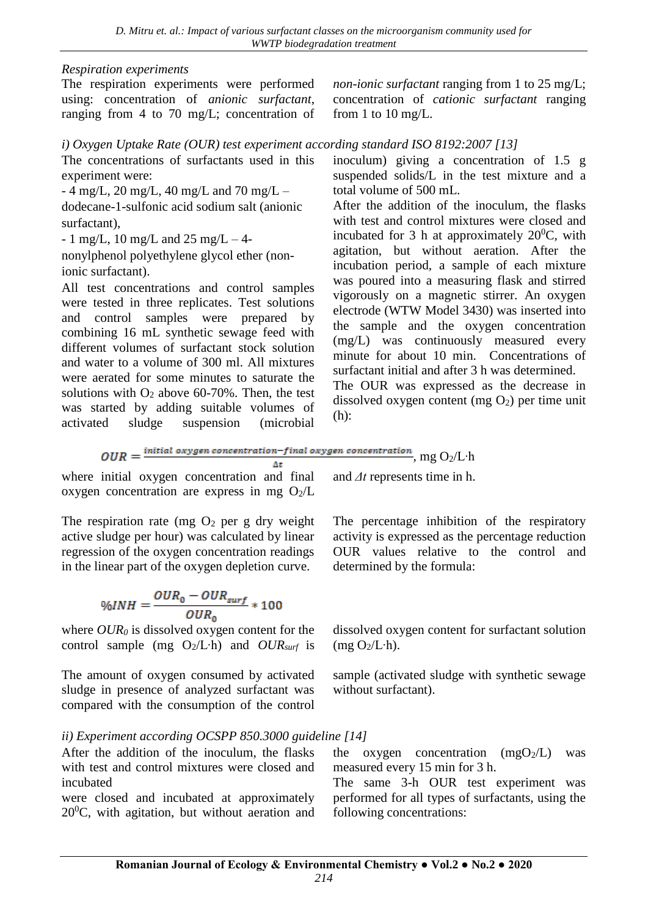#### *Respiration experiments*

The respiration experiments were performed using: concentration of *anionic surfactant*, ranging from 4 to 70 mg/L; concentration of *non-ionic surfactant* ranging from 1 to 25 mg/L; concentration of *cationic surfactant* ranging from 1 to 10 mg/L.

|  |  |  | i) Oxygen Uptake Rate (OUR) test experiment according standard ISO 8192:2007 [13] |  |  |  |  |
|--|--|--|-----------------------------------------------------------------------------------|--|--|--|--|
|--|--|--|-----------------------------------------------------------------------------------|--|--|--|--|

The concentrations of surfactants used in this experiment were:

 $-4$  mg/L, 20 mg/L, 40 mg/L and 70 mg/L – dodecane-1-sulfonic acid sodium salt (anionic surfactant),

 $-1$  mg/L, 10 mg/L and 25 mg/L  $-4$ -

nonylphenol polyethylene glycol ether (nonionic surfactant).

All test concentrations and control samples were tested in three replicates. Test solutions and control samples were prepared by combining 16 mL synthetic sewage feed with different volumes of surfactant stock solution and water to a volume of 300 ml. All mixtures were aerated for some minutes to saturate the solutions with  $O_2$  above 60-70%. Then, the test was started by adding suitable volumes of activated sludge suspension (microbial inoculum) giving a concentration of 1.5 g suspended solids/L in the test mixture and a total volume of 500 mL.

After the addition of the inoculum, the flasks with test and control mixtures were closed and incubated for 3 h at approximately  $20^0C$ , with agitation, but without aeration. After the incubation period, a sample of each mixture was poured into a measuring flask and stirred vigorously on a magnetic stirrer. An oxygen electrode (WTW Model 3430) was inserted into the sample and the oxygen concentration (mg/L) was continuously measured every minute for about 10 min. Concentrations of surfactant initial and after 3 h was determined.

The OUR was expressed as the decrease in dissolved oxygen content (mg  $O_2$ ) per time unit (h):

$$
OUR = \frac{initial\ oxygen\ concentration - final\ oxygen\ concentration}{\hbar} \text{, mg O}_2/L \cdot h
$$

 $\Delta t$ where initial oxygen concentration and final oxygen concentration are express in mg  $O_2/L$ 

The respiration rate (mg  $O_2$  per g dry weight active sludge per hour) was calculated by linear regression of the oxygen concentration readings in the linear part of the oxygen depletion curve.

$$
\% INH = \frac{OUR_0 - OUR_{surf}}{OUR_0} * 100
$$

where *OUR<sup>0</sup>* is dissolved oxygen content for the control sample (mg  $O_2/L$ ·h) and  $OUR_{surf}$  is

The amount of oxygen consumed by activated sludge in presence of analyzed surfactant was compared with the consumption of the control

and *Δt* represents time in h.

The percentage inhibition of the respiratory activity is expressed as the percentage reduction OUR values relative to the control and determined by the formula:

dissolved oxygen content for surfactant solution  $(mg O<sub>2</sub>/L·h)$ .

sample (activated sludge with synthetic sewage without surfactant).

## *ii) Experiment according OCSPP 850.3000 guideline [14]*

| After the addition of the inoculum, the flasks the oxygen concentration $(mgO_2/L)$ | was                                               |
|-------------------------------------------------------------------------------------|---------------------------------------------------|
| with test and control mixtures were closed and                                      | measured every 15 min for 3 h.                    |
| incubated                                                                           | The same 3-h OUR test experiment was              |
| were closed and incubated at approximately                                          | performed for all types of surfactants, using the |
| $20^0$ C, with agitation, but without aeration and following concentrations:        |                                                   |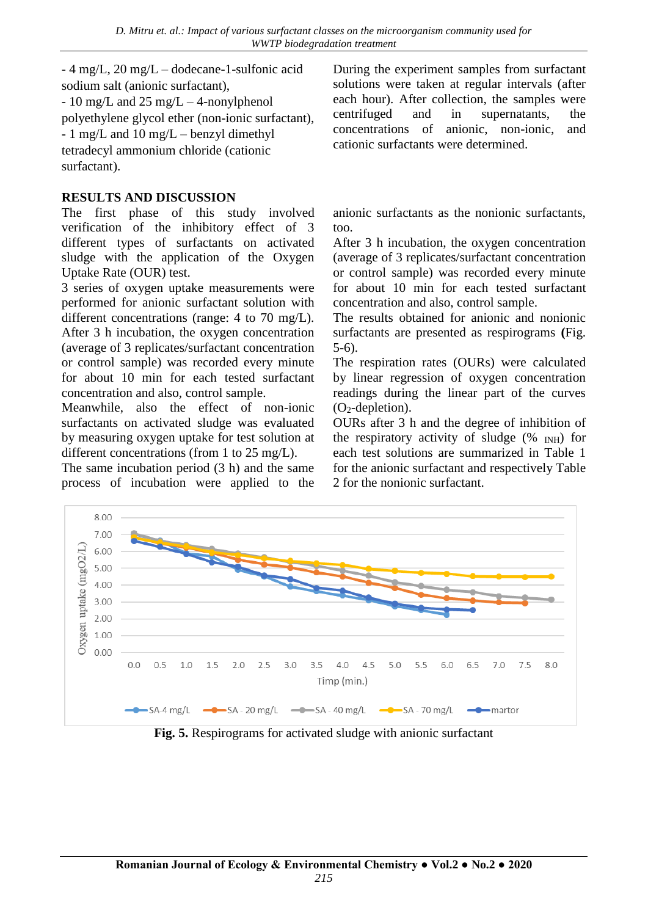- 4 mg/L, 20 mg/L – dodecane-1-sulfonic acid sodium salt (anionic surfactant),  $-10$  mg/L and  $25$  mg/L  $-4$ -nonylphenol polyethylene glycol ether (non-ionic surfactant), - 1 mg/L and 10 mg/L – benzyl dimethyl tetradecyl ammonium chloride (cationic surfactant).

## **RESULTS AND DISCUSSION**

The first phase of this study involved verification of the inhibitory effect of 3 different types of surfactants on activated sludge with the application of the Oxygen Uptake Rate (OUR) test.

3 series of oxygen uptake measurements were performed for anionic surfactant solution with different concentrations (range: 4 to 70 mg/L). After 3 h incubation, the oxygen concentration (average of 3 replicates/surfactant concentration or control sample) was recorded every minute for about 10 min for each tested surfactant concentration and also, control sample.

Meanwhile, also the effect of non-ionic surfactants on activated sludge was evaluated by measuring oxygen uptake for test solution at different concentrations (from 1 to 25 mg/L).

The same incubation period (3 h) and the same process of incubation were applied to the

During the experiment samples from surfactant solutions were taken at regular intervals (after each hour). After collection, the samples were centrifuged and in supernatants, the concentrations of anionic, non-ionic, and cationic surfactants were determined.

anionic surfactants as the nonionic surfactants, too.

After 3 h incubation, the oxygen concentration (average of 3 replicates/surfactant concentration or control sample) was recorded every minute for about 10 min for each tested surfactant concentration and also, control sample.

The results obtained for anionic and nonionic surfactants are presented as respirograms **(**Fig. 5-6).

The respiration rates (OURs) were calculated by linear regression of oxygen concentration readings during the linear part of the curves  $(O_2$ -depletion).

OURs after 3 h and the degree of inhibition of the respiratory activity of sludge  $(\%$  <sub>INH</sub>) for each test solutions are summarized in Table 1 for the anionic surfactant and respectively Table 2 for the nonionic surfactant.



**Fig. 5.** Respirograms for activated sludge with anionic surfactant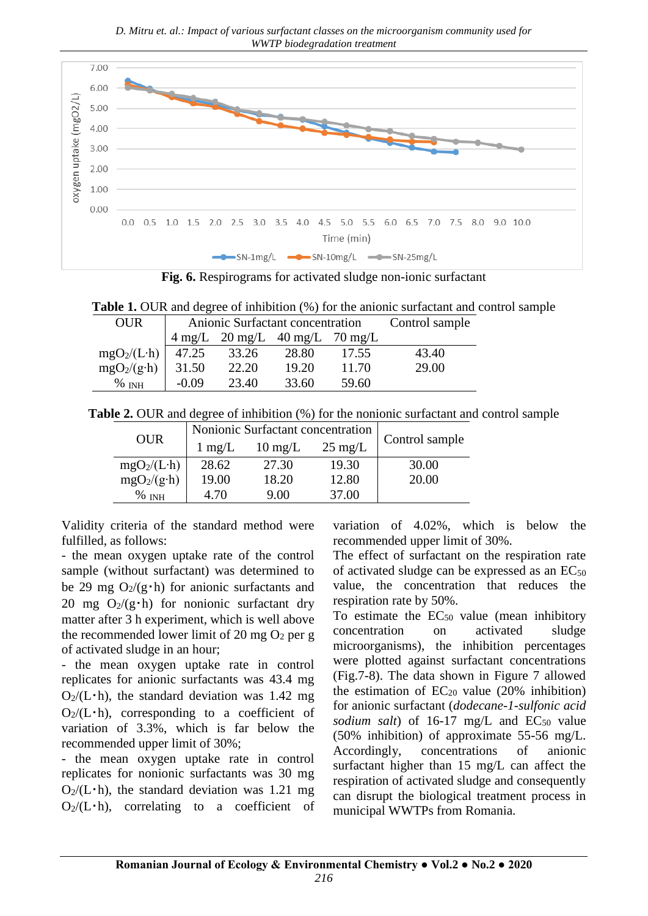

**Fig. 6.** Respirograms for activated sludge non-ionic surfactant

**Table 1.** OUR and degree of inhibition (%) for the anionic surfactant and control sample

| <b>OUR</b>          | Anionic Surfactant concentration |       |                                                    |       | Control sample |
|---------------------|----------------------------------|-------|----------------------------------------------------|-------|----------------|
|                     |                                  |       | $4 \text{ mg/L}$ 20 mg/L $40 \text{ mg/L}$ 70 mg/L |       |                |
| $mgO_2/(L \cdot h)$ | 47.25                            | 33.26 | 28.80                                              | 17.55 | 43.40          |
| $mgO2/(g\cdot h)$   | 31.50                            | 22.20 | 19.20                                              | 11.70 | 29.00          |
| $%$ INH             | $-0.09$                          | 23.40 | 33.60                                              | 59.60 |                |

**Table 2.** OUR and degree of inhibition (%) for the nonionic surfactant and control sample

|                     | Nonionic Surfactant concentration |                   |                   |                |
|---------------------|-----------------------------------|-------------------|-------------------|----------------|
| <b>OUR</b>          | $1 \text{ mg/L}$                  | $10 \text{ mg/L}$ | $25 \text{ mg/L}$ | Control sample |
| $mgO_2/(L \cdot h)$ | 28.62                             | 27.30             | 19.30             | 30.00          |
| $mgO_2/(g\cdot h)$  | 19.00                             | 18.20             | 12.80             | 20.00          |
| $%$ INH             | 4.70                              | 9.00              | 37.00             |                |

Validity criteria of the standard method were fulfilled, as follows:

- the mean oxygen uptake rate of the control sample (without surfactant) was determined to be 29 mg  $O_2/(g \cdot h)$  for anionic surfactants and 20 mg  $Q_2/(g \cdot h)$  for nonionic surfactant dry matter after 3 h experiment, which is well above the recommended lower limit of 20 mg  $O_2$  per g of activated sludge in an hour;

- the mean oxygen uptake rate in control replicates for anionic surfactants was 43.4 mg  $O_2/(L \cdot h)$ , the standard deviation was 1.42 mg  $O_2/(L \cdot h)$ , corresponding to a coefficient of variation of 3.3%, which is far below the recommended upper limit of 30%;

- the mean oxygen uptake rate in control replicates for nonionic surfactants was 30 mg  $O_2$ /(L·h), the standard deviation was 1.21 mg  $O_2/(L \cdot h)$ , correlating to a coefficient of variation of 4.02%, which is below the recommended upper limit of 30%.

The effect of surfactant on the respiration rate of activated sludge can be expressed as an  $EC_{50}$ value, the concentration that reduces the respiration rate by 50%.

To estimate the  $EC_{50}$  value (mean inhibitory concentration on activated sludge microorganisms), the inhibition percentages were plotted against surfactant concentrations (Fig.7-8). The data shown in Figure 7 allowed the estimation of  $EC_{20}$  value (20% inhibition) for anionic surfactant (*dodecane-1-sulfonic acid sodium salt*) of 16-17 mg/L and EC<sub>50</sub> value (50% inhibition) of approximate 55-56 mg/L. Accordingly, concentrations of anionic surfactant higher than 15 mg/L can affect the respiration of activated sludge and consequently can disrupt the biological treatment process in municipal WWTPs from Romania.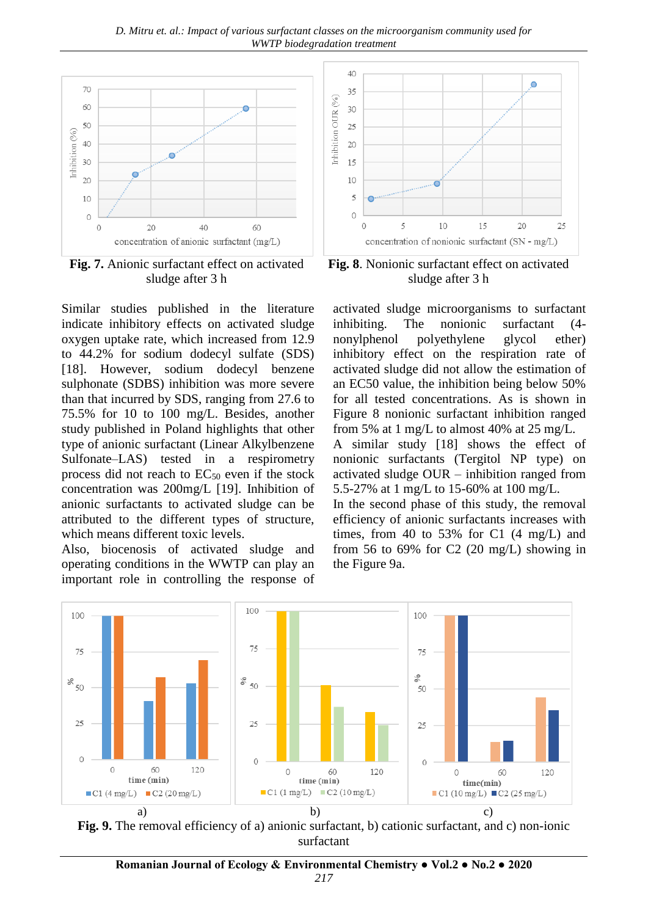*D. Mitru et. al.: Impact of various surfactant classes on the microorganism community used for WWTP biodegradation treatment*



**Fig. 7.** Anionic surfactant effect on activated sludge after 3 h

Similar studies published in the literature indicate inhibitory effects on activated sludge oxygen uptake rate, which increased from 12.9 to 44.2% for sodium dodecyl sulfate (SDS) [18]. However, sodium dodecyl benzene sulphonate (SDBS) inhibition was more severe than that incurred by SDS, ranging from 27.6 to 75.5% for 10 to 100 mg/L. Besides, another study published in Poland highlights that other type of anionic surfactant (Linear Alkylbenzene Sulfonate–LAS) tested in a respirometry process did not reach to  $EC_{50}$  even if the stock concentration was 200mg/L [19]. Inhibition of anionic surfactants to activated sludge can be attributed to the different types of structure, which means different toxic levels.

Also, biocenosis of activated sludge and operating conditions in the WWTP can play an important role in controlling the response of



**Fig. 8**. Nonionic surfactant effect on activated sludge after 3 h

activated sludge microorganisms to surfactant inhibiting. The nonionic surfactant (4 nonylphenol polyethylene glycol ether) inhibitory effect on the respiration rate of activated sludge did not allow the estimation of an EC50 value, the inhibition being below 50% for all tested concentrations. As is shown in Figure 8 nonionic surfactant inhibition ranged from 5% at 1 mg/L to almost 40% at 25 mg/L.

A similar study [18] shows the effect of nonionic surfactants (Tergitol NP type) on activated sludge OUR – inhibition ranged from 5.5-27% at 1 mg/L to 15-60% at 100 mg/L.

In the second phase of this study, the removal efficiency of anionic surfactants increases with times, from 40 to 53% for C1  $(4 \text{ mg/L})$  and from 56 to 69% for  $C2$  (20 mg/L) showing in the Figure 9a.



**Fig. 9.** The removal efficiency of a) anionic surfactant, b) cationic surfactant, and c) non-ionic surfactant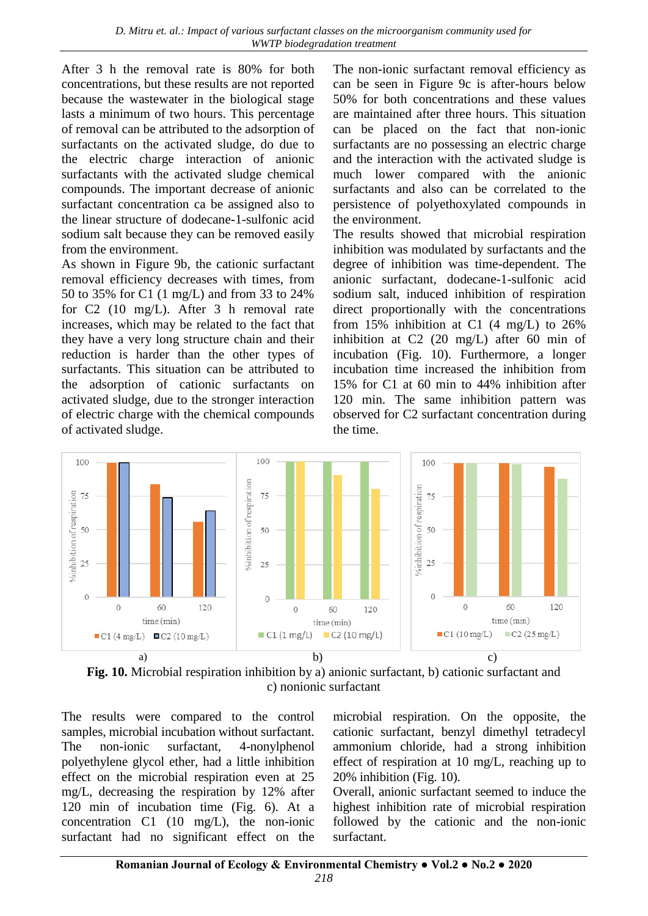After 3 h the removal rate is 80% for both concentrations, but these results are not reported because the wastewater in the biological stage lasts a minimum of two hours. This percentage of removal can be attributed to the adsorption of surfactants on the activated sludge, do due to the electric charge interaction of anionic surfactants with the activated sludge chemical compounds. The important decrease of anionic surfactant concentration ca be assigned also to the linear structure of dodecane-1-sulfonic acid sodium salt because they can be removed easily from the environment.

As shown in Figure 9b, the cationic surfactant removal efficiency decreases with times, from 50 to 35% for C1 (1 mg/L) and from 33 to 24% for C2 (10 mg/L). After 3 h removal rate increases, which may be related to the fact that they have a very long structure chain and their reduction is harder than the other types of surfactants. This situation can be attributed to the adsorption of cationic surfactants on activated sludge, due to the stronger interaction of electric charge with the chemical compounds of activated sludge.

The non-ionic surfactant removal efficiency as can be seen in Figure 9c is after-hours below 50% for both concentrations and these values are maintained after three hours. This situation can be placed on the fact that non-ionic surfactants are no possessing an electric charge and the interaction with the activated sludge is much lower compared with the anionic surfactants and also can be correlated to the persistence of polyethoxylated compounds in the environment.

The results showed that microbial respiration inhibition was modulated by surfactants and the degree of inhibition was time-dependent. The anionic surfactant, dodecane-1-sulfonic acid sodium salt, induced inhibition of respiration direct proportionally with the concentrations from 15% inhibition at C1  $(4 \text{ mg/L})$  to 26% inhibition at C2 (20 mg/L) after 60 min of incubation (Fig. 10). Furthermore, a longer incubation time increased the inhibition from 15% for C1 at 60 min to 44% inhibition after 120 min. The same inhibition pattern was observed for C2 surfactant concentration during the time.



**Fig. 10.** Microbial respiration inhibition by a) anionic surfactant, b) cationic surfactant and c) nonionic surfactant

The results were compared to the control samples, microbial incubation without surfactant. The non-ionic surfactant, 4-nonylphenol polyethylene glycol ether, had a little inhibition effect on the microbial respiration even at 25 mg/L, decreasing the respiration by 12% after 120 min of incubation time (Fig. 6). At a concentration C1 (10 mg/L), the non-ionic surfactant had no significant effect on the

microbial respiration. On the opposite, the cationic surfactant, benzyl dimethyl tetradecyl ammonium chloride, had a strong inhibition effect of respiration at 10 mg/L, reaching up to 20% inhibition (Fig. 10).

Overall, anionic surfactant seemed to induce the highest inhibition rate of microbial respiration followed by the cationic and the non-ionic surfactant.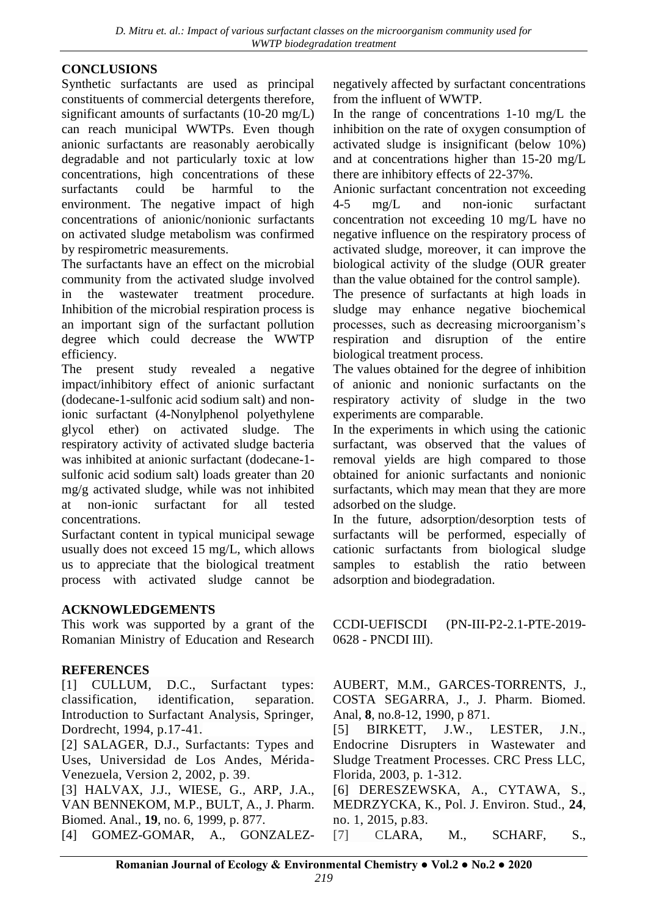# **CONCLUSIONS**

Synthetic surfactants are used as principal constituents of commercial detergents therefore, significant amounts of surfactants (10-20 mg/L) can reach municipal WWTPs. Even though anionic surfactants are reasonably aerobically degradable and not particularly toxic at low concentrations, high concentrations of these surfactants could be harmful to the environment. The negative impact of high concentrations of anionic/nonionic surfactants on activated sludge metabolism was confirmed by respirometric measurements.

The surfactants have an effect on the microbial community from the activated sludge involved in the wastewater treatment procedure. Inhibition of the microbial respiration process is an important sign of the surfactant pollution degree which could decrease the WWTP efficiency.

The present study revealed a negative impact/inhibitory effect of anionic surfactant (dodecane-1-sulfonic acid sodium salt) and nonionic surfactant (4-Nonylphenol polyethylene glycol ether) on activated sludge. The respiratory activity of activated sludge bacteria was inhibited at anionic surfactant (dodecane-1 sulfonic acid sodium salt) loads greater than 20 mg/g activated sludge, while was not inhibited at non-ionic surfactant for all tested concentrations.

Surfactant content in typical municipal sewage usually does not exceed 15 mg/L, which allows us to appreciate that the biological treatment process with activated sludge cannot be

## **ACKNOWLEDGEMENTS**

This work was supported by a grant of the Romanian Ministry of Education and Research

#### **REFERENCES**

[1] CULLUM, D.C., Surfactant types: classification, identification, separation. Introduction to Surfactant Analysis, Springer, Dordrecht, 1994, p.17-41.

[2] SALAGER, D.J., Surfactants: Types and Uses, Universidad de Los Andes, Mérida-Venezuela, Version 2, 2002, p. 39.

[3] HALVAX, J.J., WIESE, G., ARP, J.A., VAN BENNEKOM, M.P., BULT, A., J. Pharm. Biomed. Anal., **19**, no. 6, 1999, p. 877. [4] GOMEZ-GOMAR, A., GONZALEZ- negatively affected by surfactant concentrations from the influent of WWTP.

In the range of concentrations 1-10 mg/L the inhibition on the rate of oxygen consumption of activated sludge is insignificant (below 10%) and at concentrations higher than 15-20 mg/L there are inhibitory effects of 22-37%.

Anionic surfactant concentration not exceeding 4-5 mg/L and non-ionic surfactant concentration not exceeding 10 mg/L have no negative influence on the respiratory process of activated sludge, moreover, it can improve the biological activity of the sludge (OUR greater than the value obtained for the control sample).

The presence of surfactants at high loads in sludge may enhance negative biochemical processes, such as decreasing microorganism's respiration and disruption of the entire biological treatment process.

The values obtained for the degree of inhibition of anionic and nonionic surfactants on the respiratory activity of sludge in the two experiments are comparable.

In the experiments in which using the cationic surfactant, was observed that the values of removal yields are high compared to those obtained for anionic surfactants and nonionic surfactants, which may mean that they are more adsorbed on the sludge.

In the future, adsorption/desorption tests of surfactants will be performed, especially of cationic surfactants from biological sludge samples to establish the ratio between adsorption and biodegradation.

CCDI-UEFISCDI (PN-III-P2-2.1-PTE-2019- 0628 - PNCDI III).

AUBERT, M.M., GARCES-TORRENTS, J., COSTA SEGARRA, J., J. Pharm. Biomed. Anal, **8**, no.8-12, 1990, p 871.

[5] BIRKETT, J.W., LESTER, J.N., Endocrine Disrupters in Wastewater and Sludge Treatment Processes. CRC Press LLC, Florida, 2003, p. 1-312.

[6] DERESZEWSKA, A., CYTAWA, S., MEDRZYCKA, K., Pol. J. Environ. Stud., **24**, no. 1, 2015, p.83.

[7] CLARA, M., SCHARF, S.,